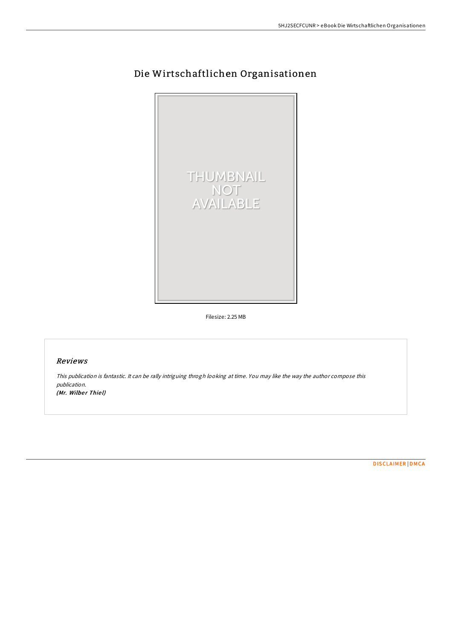

# Die Wirtschaftlichen Organisationen

Filesize: 2.25 MB

### Reviews

This publication is fantastic. It can be rally intriguing throgh looking at time. You may like the way the author compose this publication. (Mr. Wilber Thiel)

[DISCLAIMER](http://almighty24.tech/disclaimer.html) | [DMCA](http://almighty24.tech/dmca.html)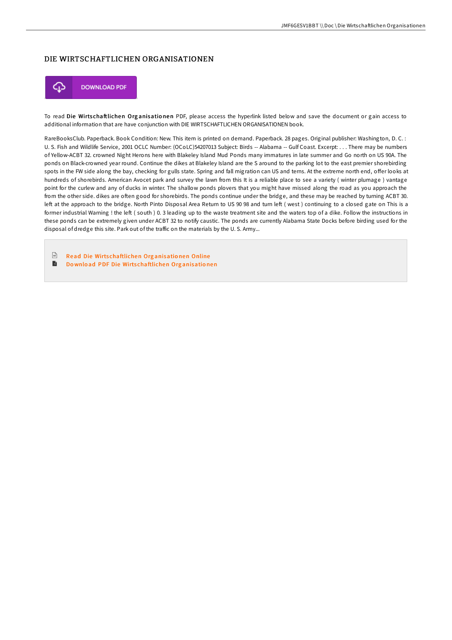## DIE WIRTSCHAFTLICHEN ORGANISATIONEN



To read Die Wirtschaftlichen Organisationen PDF, please access the hyperlink listed below and save the document or gain access to additional information that are have conjunction with DIE WIRTSCHAFTLICHEN ORGANISATIONEN book.

RareBooksClub. Paperback. Book Condition: New. This item is printed on demand. Paperback. 28 pages. Original publisher: Washington, D. C. : U. S. Fish and Wildlife Service, 2001 OCLC Number: (OCoLC)54207013 Subject: Birds -- Alabama -- Gulf Coast. Excerpt: . . . There may be numbers of Yellow-ACBT 32. crowned Night Herons here with Blakeley Island Mud Ponds many immatures in late summer and Go north on US 90A. The ponds on Black-crowned year round. Continue the dikes at Blakeley Island are the S around to the parking lot to the east premier shorebirding spots in the FW side along the bay, checking for gulls state. Spring and fall migration can US and terns. At the extreme north end, offer looks at hundreds of shorebirds. American Avocet park and survey the lawn from this It is a reliable place to see a variety (winter plumage) vantage point for the curlew and any of ducks in winter. The shallow ponds plovers that you might have missed along the road as you approach the from the other side. dikes are often good for shorebirds. The ponds continue under the bridge, and these may be reached by turning ACBT 30. left at the approach to the bridge. North Pinto Disposal Area Return to US 90 98 and turn left (west) continuing to a closed gate on This is a former industrial Warning ! the left (south ) 0. 3 leading up to the waste treatment site and the waters top of a dike. Follow the instructions in these ponds can be extremely given under ACBT 32 to notify caustic. The ponds are currently Alabama State Docks before birding used for the disposal of dredge this site. Park out of the traffic on the materials by the U. S. Army...

 $\sqrt{1 + \frac{1}{2}}$ Read Die Wirts [chaftlichen](http://almighty24.tech/die-wirtschaftlichen-organisationen.html) Org anisatio nen Online  $\rightarrow$ Do wnlo ad PDF Die Wirts [chaftlichen](http://almighty24.tech/die-wirtschaftlichen-organisationen.html) Org anisatio nen